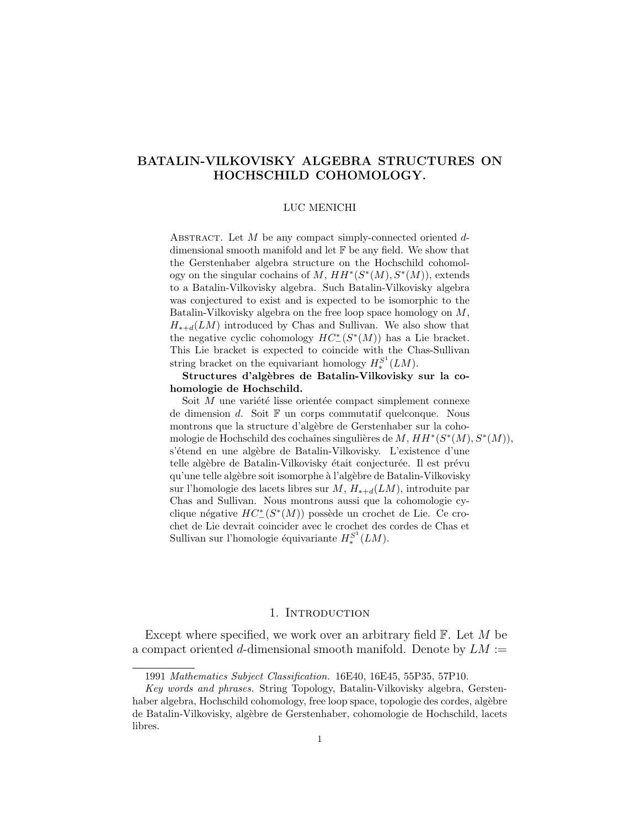### LUC MENICHI

ABSTRACT. Let  $M$  be any compact simply-connected oriented  $d$ dimensional smooth manifold and let F be any field. We show that the Gerstenhaber algebra structure on the Hochschild cohomology on the singular cochains of M,  $HH^*(S^*(M), S^*(M))$ , extends to a Batalin-Vilkovisky algebra. Such Batalin-Vilkovisky algebra was conjectured to exist and is expected to be isomorphic to the Batalin-Vilkovisky algebra on the free loop space homology on  $M$ ,  $H_{*+d}(LM)$  introduced by Chas and Sullivan. We also show that the negative cyclic cohomology  $HC^*(S^*(M))$  has a Lie bracket. This Lie bracket is expected to coincide with the Chas-Sullivan string bracket on the equivariant homology  $H_*^{S^1}(LM)$ .

## Structures d'algèbres de Batalin-Vilkovisky sur la cohomologie de Hochschild.

Soit  $M$  une variété lisse orientée compact simplement connexe de dimension  $d$ . Soit  $\mathbb F$  un corps commutatif quelconque. Nous montrons que la structure d'algèbre de Gerstenhaber sur la cohomologie de Hochschild des cochaînes singulières de  $M$ ,  $HH^*(S^*(M), S^*(M)),$ s'étend en une algèbre de Batalin-Vilkovisky. L'existence d'une telle algèbre de Batalin-Vilkovisky était conjecturée. Il est prévu qu'une telle algèbre soit isomorphe à l'algèbre de Batalin-Vilkovisky sur l'homologie des lacets libres sur  $M$ ,  $H_{*+d}(LM)$ , introduite par Chas and Sullivan. Nous montrons aussi que la cohomologie cyclique négative  $HC^*_-(S^*(M))$  possède un crochet de Lie. Ce crochet de Lie devrait coincider avec le crochet des cordes de Chas et Sullivan sur l'homologie équivariante  $H_*^{S^1}(LM)$ .

## 1. INTRODUCTION

Except where specified, we work over an arbitrary field  $\mathbb{F}$ . Let M be a compact oriented d-dimensional smooth manifold. Denote by  $LM :=$ 

<sup>1991</sup> Mathematics Subject Classification. 16E40, 16E45, 55P35, 57P10.

Key words and phrases. String Topology, Batalin-Vilkovisky algebra, Gerstenhaber algebra, Hochschild cohomology, free loop space, topologie des cordes, algèbre de Batalin-Vilkovisky, alg`ebre de Gerstenhaber, cohomologie de Hochschild, lacets libres.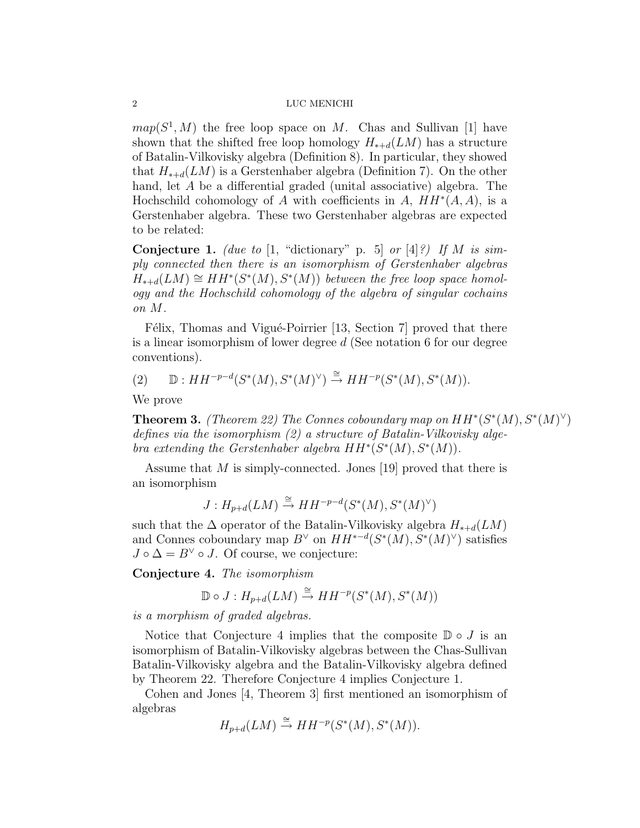$map(S^1, M)$  the free loop space on M. Chas and Sullivan [1] have shown that the shifted free loop homology  $H_{*+d}(LM)$  has a structure of Batalin-Vilkovisky algebra (Definition 8). In particular, they showed that  $H_{*+d}(LM)$  is a Gerstenhaber algebra (Definition 7). On the other hand, let A be a differential graded (unital associative) algebra. The Hochschild cohomology of A with coefficients in A,  $HH^*(A, A)$ , is a Gerstenhaber algebra. These two Gerstenhaber algebras are expected to be related:

**Conjecture 1.** (due to [1, "dictionary" p. 5] or [4]?) If M is simply connected then there is an isomorphism of Gerstenhaber algebras  $H_{*+d}(LM) \cong HH^*(S^*(M), S^*(M))$  between the free loop space homology and the Hochschild cohomology of the algebra of singular cochains on M.

Félix, Thomas and Vigué-Poirrier [13, Section 7] proved that there is a linear isomorphism of lower degree d (See notation 6 for our degree conventions).

(2)  $\mathbb{D}: HH^{-p-d}(S^*(M), S^*(M)^{\vee}) \stackrel{\cong}{\to} HH^{-p}(S^*(M), S^*(M)).$ 

We prove

**Theorem 3.** (Theorem 22) The Connes coboundary map on  $HH^*(S^*(M), S^*(M)^{\vee})$ defines via the isomorphism (2) a structure of Batalin-Vilkovisky algebra extending the Gerstenhaber algebra  $HH^*(S^*(M), S^*(M))$ .

Assume that M is simply-connected. Jones [19] proved that there is an isomorphism

$$
J: H_{p+d}(LM) \xrightarrow{\cong} HH^{-p-d}(S^*(M), S^*(M)^{\vee})
$$

such that the  $\Delta$  operator of the Batalin-Vilkovisky algebra  $H_{*+d}(LM)$ and Connes coboundary map  $B^{\vee}$  on  $HH^{*-d}(S^*(M), S^*(M)^{\vee})$  satisfies  $J \circ \Delta = B^{\vee} \circ J$ . Of course, we conjecture:

Conjecture 4. The isomorphism

 $\mathbb{D} \circ J : H_{p+d}(LM) \stackrel{\cong}{\to} HH^{-p}(S^*(M), S^*(M))$ 

is a morphism of graded algebras.

Notice that Conjecture 4 implies that the composite  $\mathbb{D} \circ J$  is an isomorphism of Batalin-Vilkovisky algebras between the Chas-Sullivan Batalin-Vilkovisky algebra and the Batalin-Vilkovisky algebra defined by Theorem 22. Therefore Conjecture 4 implies Conjecture 1.

Cohen and Jones [4, Theorem 3] first mentioned an isomorphism of algebras

$$
H_{p+d}(LM) \stackrel{\cong}{\to} HH^{-p}(S^*(M), S^*(M)).
$$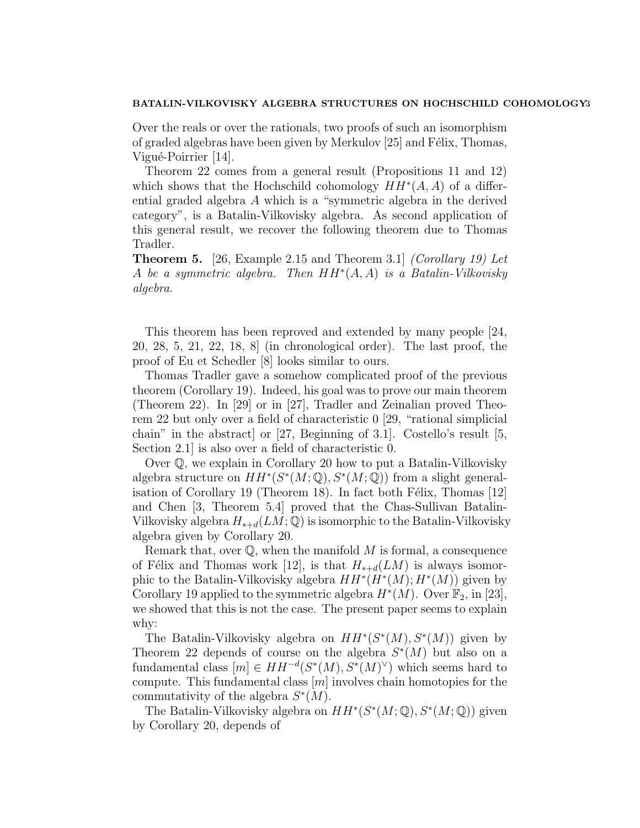Over the reals or over the rationals, two proofs of such an isomorphism of graded algebras have been given by Merkulov [25] and Félix, Thomas, Vigué-Poirrier [14].

Theorem 22 comes from a general result (Propositions 11 and 12) which shows that the Hochschild cohomology  $HH^*(A, A)$  of a differential graded algebra A which is a "symmetric algebra in the derived category", is a Batalin-Vilkovisky algebra. As second application of this general result, we recover the following theorem due to Thomas Tradler.

**Theorem 5.** [26, Example 2.15 and Theorem 3.1] *(Corollary 19)* Let A be a symmetric algebra. Then  $HH^*(A, A)$  is a Batalin-Vilkovisky algebra.

This theorem has been reproved and extended by many people [24, 20, 28, 5, 21, 22, 18, 8] (in chronological order). The last proof, the proof of Eu et Schedler [8] looks similar to ours.

Thomas Tradler gave a somehow complicated proof of the previous theorem (Corollary 19). Indeed, his goal was to prove our main theorem (Theorem 22). In [29] or in [27], Tradler and Zeinalian proved Theorem 22 but only over a field of characteristic 0 [29, "rational simplicial chain" in the abstract] or [27, Beginning of 3.1]. Costello's result [5, Section 2.1] is also over a field of characteristic 0.

Over Q, we explain in Corollary 20 how to put a Batalin-Vilkovisky algebra structure on  $HH^*(S^*(M, \mathbb{Q}), S^*(M, \mathbb{Q}))$  from a slight generalisation of Corollary 19 (Theorem 18). In fact both Félix, Thomas  $|12|$ and Chen [3, Theorem 5.4] proved that the Chas-Sullivan Batalin-Vilkovisky algebra  $H_{*+d}(LM; \mathbb{Q})$  is isomorphic to the Batalin-Vilkovisky algebra given by Corollary 20.

Remark that, over  $\mathbb Q$ , when the manifold  $M$  is formal, a consequence of Félix and Thomas work [12], is that  $H_{*+d}(LM)$  is always isomorphic to the Batalin-Vilkovisky algebra  $HH^*(H^*(M); H^*(M))$  given by Corollary 19 applied to the symmetric algebra  $H^*(M)$ . Over  $\mathbb{F}_2$ , in [23], we showed that this is not the case. The present paper seems to explain why:

The Batalin-Vilkovisky algebra on  $HH^*(S^*(M), S^*(M))$  given by Theorem 22 depends of course on the algebra  $S^*(M)$  but also on a fundamental class  $[m] \in HH^{-d}(S^*(M), S^*(M)^{\vee})$  which seems hard to compute. This fundamental class  $[m]$  involves chain homotopies for the commutativity of the algebra  $S^*(M)$ .

The Batalin-Vilkovisky algebra on  $HH^*(S^*(M; \mathbb{Q}), S^*(M; \mathbb{Q}))$  given by Corollary 20, depends of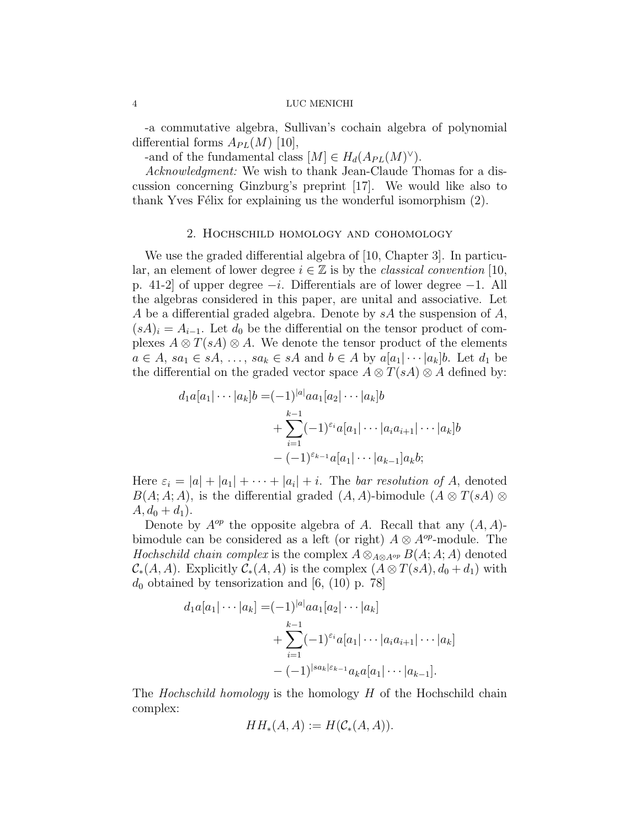-a commutative algebra, Sullivan's cochain algebra of polynomial differential forms  $A_{PL}(M)$  [10],

-and of the fundamental class  $[M] \in H_d(A_{PL}(M)^{\vee}).$ 

Acknowledgment: We wish to thank Jean-Claude Thomas for a discussion concerning Ginzburg's preprint [17]. We would like also to thank Yves Félix for explaining us the wonderful isomorphism  $(2)$ .

## 2. Hochschild homology and cohomology

We use the graded differential algebra of [10, Chapter 3]. In particular, an element of lower degree  $i \in \mathbb{Z}$  is by the *classical convention* [10, p. 41-2 of upper degree  $-i$ . Differentials are of lower degree  $-1$ . All the algebras considered in this paper, are unital and associative. Let A be a differential graded algebra. Denote by  $sA$  the suspension of A,  $(sA)_i = A_{i-1}$ . Let  $d_0$  be the differential on the tensor product of complexes  $A \otimes T(sA) \otimes A$ . We denote the tensor product of the elements  $a \in A$ ,  $sa_1 \in sA$ , ...,  $sa_k \in sA$  and  $b \in A$  by  $a[a_1] \cdots [a_k]b$ . Let  $d_1$  be the differential on the graded vector space  $A \otimes T(sA) \otimes A$  defined by:

$$
d_1a[a_1|\cdots|a_k]b = (-1)^{|a|}aa_1[a_2|\cdots|a_k]b
$$
  
+ 
$$
\sum_{i=1}^{k-1} (-1)^{\varepsilon_i} a[a_1|\cdots|a_i a_{i+1}|\cdots|a_k]b
$$
  
- 
$$
(-1)^{\varepsilon_{k-1}} a[a_1|\cdots|a_{k-1}]a_k b;
$$

Here  $\varepsilon_i = |a| + |a_1| + \cdots + |a_i| + i$ . The bar resolution of A, denoted  $B(A; A; A)$ , is the differential graded  $(A, A)$ -bimodule  $(A \otimes T(sA) \otimes$  $A, d_0 + d_1$ .

Denote by  $A^{op}$  the opposite algebra of A. Recall that any  $(A, A)$ bimodule can be considered as a left (or right)  $A \otimes A^{op}$ -module. The Hochschild chain complex is the complex  $A \otimes_{A \otimes A^{op}} B(A;A;A)$  denoted  $\mathcal{C}_*(A, A)$ . Explicitly  $\mathcal{C}_*(A, A)$  is the complex  $(A \otimes T(sA), d_0 + d_1)$  with  $d_0$  obtained by tensorization and [6, (10) p. 78]

$$
d_1a[a_1|\cdots|a_k] = (-1)^{|a|} a a_1[a_2|\cdots|a_k] + \sum_{i=1}^{k-1} (-1)^{\varepsilon_i} a[a_1|\cdots|a_i a_{i+1}|\cdots|a_k] - (-1)^{|sa_k|\varepsilon_{k-1}} a_k a[a_1|\cdots|a_{k-1}].
$$

The *Hochschild homology* is the homology H of the Hochschild chain complex:

$$
HH_*(A, A) := H(\mathcal{C}_*(A, A)).
$$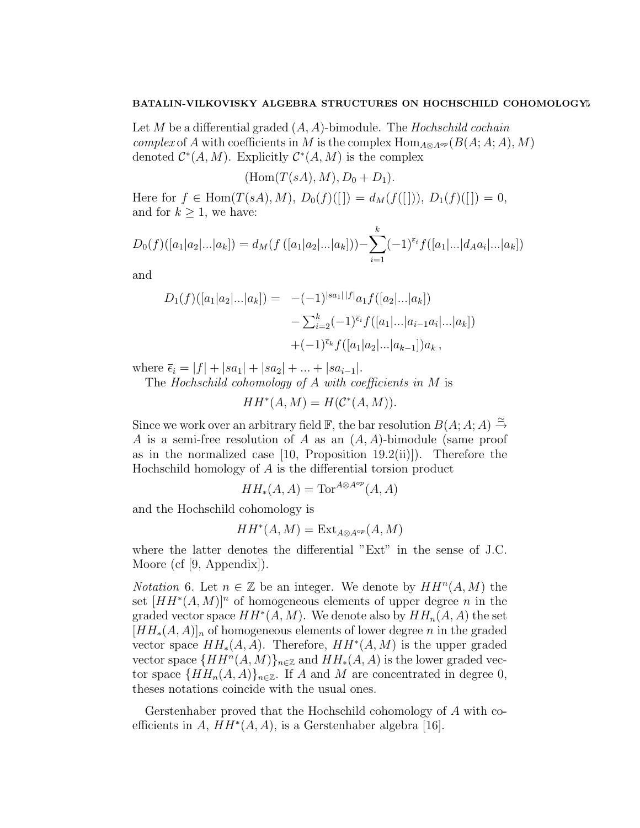Let M be a differential graded  $(A, A)$ -bimodule. The Hochschild cochain *complex* of A with coefficients in M is the complex  $\text{Hom}_{A\otimes A^{op}}(B(A;A;A), M)$ denoted  $\mathcal{C}^*(A, M)$ . Explicitly  $\mathcal{C}^*(A, M)$  is the complex

$$
(\mathrm{Hom}(T(sA),M),D_0+D_1).
$$

Here for  $f \in \text{Hom}(T(sA), M)$ ,  $D_0(f)([] = d_M(f([]))$ ,  $D_1(f)([]) = 0$ , and for  $k \geq 1$ , we have:

$$
D_0(f)([a_1|a_2|...|a_k]) = d_M(f([a_1|a_2|...|a_k])) - \sum_{i=1}^k (-1)^{\bar{\epsilon}_i} f([a_1|...|d_Aa_i|...|a_k])
$$

and

$$
D_1(f)([a_1|a_2|...|a_k]) = -(-1)^{|sa_1||f|}a_1f([a_2|...|a_k])
$$
  

$$
-\sum_{i=2}^k (-1)^{\bar{\epsilon}_i} f([a_1|...|a_{i-1}a_i|...|a_k])
$$
  

$$
+(-1)^{\bar{\epsilon}_k} f([a_1|a_2|...|a_{k-1}])a_k,
$$

where  $\bar{\epsilon}_i = |f| + |sa_1| + |sa_2| + ... + |sa_{i-1}|.$ 

The Hochschild cohomology of  $A$  with coefficients in  $M$  is

$$
HH^*(A, M) = H(\mathcal{C}^*(A, M)).
$$

Since we work over an arbitrary field  $\mathbb{F}$ , the bar resolution  $B(A; A; A) \stackrel{\simeq}{\rightarrow}$ A is a semi-free resolution of A as an  $(A, A)$ -bimodule (same proof as in the normalized case [10, Proposition 19.2(ii)]). Therefore the Hochschild homology of A is the differential torsion product

$$
HH_*(A, A) = \text{Tor}^{A \otimes A^{op}}(A, A)
$$

and the Hochschild cohomology is

$$
HH^*(A, M) = \operatorname{Ext}_{A \otimes A^{op}}(A, M)
$$

where the latter denotes the differential "Ext" in the sense of J.C. Moore (cf [9, Appendix]).

*Notation* 6. Let  $n \in \mathbb{Z}$  be an integer. We denote by  $HH^n(A, M)$  the set  $[HH^*(A, M)]^n$  of homogeneous elements of upper degree n in the graded vector space  $HH^*(A, M)$ . We denote also by  $HH_n(A, A)$  the set  $[HH_*(A, A)]_n$  of homogeneous elements of lower degree n in the graded vector space  $HH_*(A, A)$ . Therefore,  $HH^*(A, M)$  is the upper graded vector space  $\{HH^n(A, M)\}_{n\in\mathbb{Z}}$  and  $HH_*(A, A)$  is the lower graded vector space  $\{HH_n(A, A)\}_{n\in\mathbb{Z}}$ . If A and M are concentrated in degree 0, theses notations coincide with the usual ones.

Gerstenhaber proved that the Hochschild cohomology of A with coefficients in  $A, HH^*(A, A),$  is a Gerstenhaber algebra [16].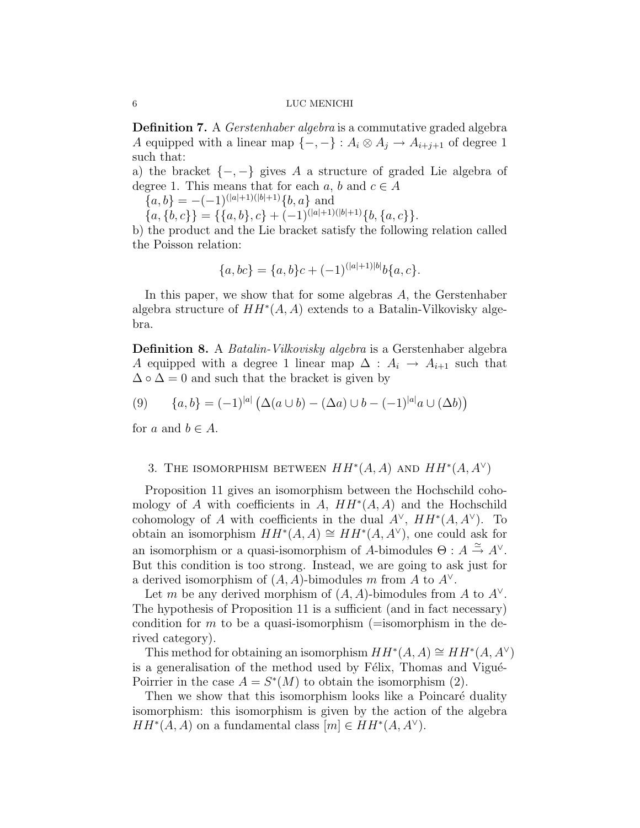**Definition 7.** A *Gerstenhaber algebra* is a commutative graded algebra A equipped with a linear map  $\{-,-\}$ :  $A_i \otimes A_j \rightarrow A_{i+j+1}$  of degree 1 such that:

a) the bracket  $\{-,-\}$  gives A a structure of graded Lie algebra of degree 1. This means that for each a, b and  $c \in A$ 

 ${a, b} = -(-1)^{(|a|+1)(|b|+1)}{b, a}$  and

 $\{a,\{b,c\}\}=\{\{a,b\},c\}+(-1)^{(|a|+1)(|b|+1)}\{b,\{a,c\}\}.$ 

b) the product and the Lie bracket satisfy the following relation called the Poisson relation:

$$
\{a, bc\} = \{a, b\}c + (-1)^{(|a|+1)|b|}b\{a, c\}.
$$

In this paper, we show that for some algebras A, the Gerstenhaber algebra structure of  $HH^*(A, A)$  extends to a Batalin-Vilkovisky algebra.

Definition 8. A *Batalin-Vilkovisky algebra* is a Gerstenhaber algebra A equipped with a degree 1 linear map  $\Delta : A_i \rightarrow A_{i+1}$  such that  $\Delta \circ \Delta = 0$  and such that the bracket is given by

(9) 
$$
\{a,b\} = (-1)^{|a|} (\Delta(a \cup b) - (\Delta a) \cup b - (-1)^{|a|} a \cup (\Delta b))
$$

for a and  $b \in A$ .

# 3. THE ISOMORPHISM BETWEEN  $HH^*(A, A)$  AND  $HH^*(A, A^{\vee})$

Proposition 11 gives an isomorphism between the Hochschild cohomology of A with coefficients in A,  $HH^*(A, A)$  and the Hochschild cohomology of A with coefficients in the dual  $A^{\vee}$ ,  $HH^*(A, A^{\vee})$ . To obtain an isomorphism  $HH^*(A, A) \cong HH^*(A, A^{\vee})$ , one could ask for an isomorphism or a quasi-isomorphism of A-bimodules  $\Theta: A \stackrel{\simeq}{\to} A^{\vee}$ . But this condition is too strong. Instead, we are going to ask just for a derived isomorphism of  $(A, A)$ -bimodules m from A to  $A^{\vee}$ .

Let m be any derived morphism of  $(A, A)$ -bimodules from A to  $A^{\vee}$ . The hypothesis of Proposition 11 is a sufficient (and in fact necessary) condition for m to be a quasi-isomorphism (=isomorphism in the derived category).

This method for obtaining an isomorphism  $HH^*(A, A) \cong HH^*(A, A^{\vee})$ is a generalisation of the method used by Félix, Thomas and Vigué-Poirrier in the case  $A = S^*(M)$  to obtain the isomorphism (2).

Then we show that this isomorphism looks like a Poincaré duality isomorphism: this isomorphism is given by the action of the algebra  $HH^*(A, A)$  on a fundamental class  $[m] \in HH^*(A, A^{\vee}).$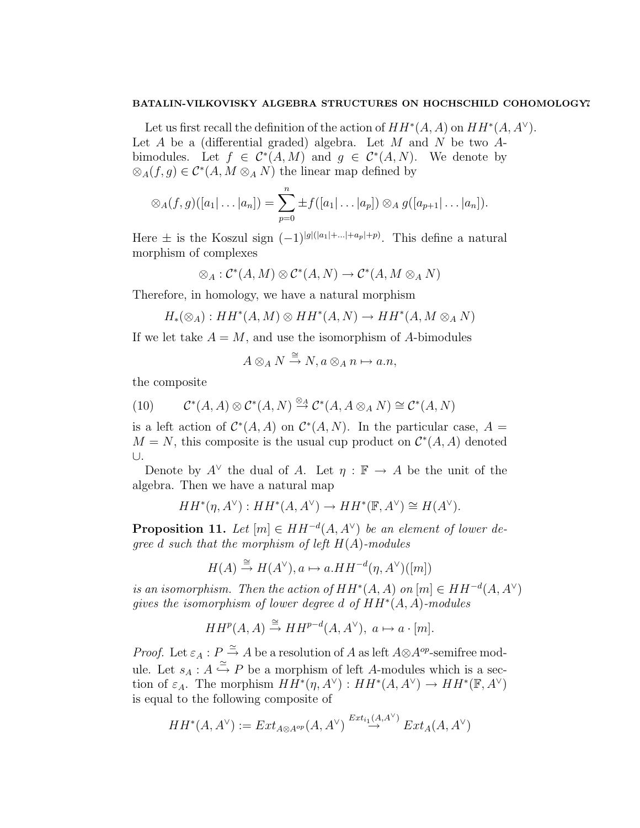Let us first recall the definition of the action of  $HH^*(A, A)$  on  $HH^*(A, A^{\vee})$ . Let A be a (differential graded) algebra. Let M and N be two  $A$ bimodules. Let  $f \in C^*(A, M)$  and  $g \in C^*(A, N)$ . We denote by  $\otimes_A(f,g) \in \mathcal{C}^*(A, M \otimes_A N)$  the linear map defined by

$$
\otimes_A(f,g)([a_1|\ldots|a_n])=\sum_{p=0}^n\pm f([a_1|\ldots|a_p])\otimes_A g([a_{p+1}|\ldots|a_n]).
$$

Here  $\pm$  is the Koszul sign  $(-1)^{|g|(|a_1|+\ldots+|a_p|+p)}$ . This define a natural morphism of complexes

$$
\otimes_A : \mathcal{C}^*(A, M) \otimes \mathcal{C}^*(A, N) \to \mathcal{C}^*(A, M \otimes_A N)
$$

Therefore, in homology, we have a natural morphism

$$
H_*(\otimes_A): HH^*(A,M)\otimes HH^*(A,N)\to HH^*(A,M\otimes_A N)
$$

If we let take  $A = M$ , and use the isomorphism of A-bimodules

$$
A\otimes_A N \xrightarrow{\cong} N, a\otimes_A n \mapsto a.n,
$$

the composite

(10) 
$$
\mathcal{C}^*(A, A) \otimes \mathcal{C}^*(A, N) \stackrel{\otimes_A}{\to} \mathcal{C}^*(A, A \otimes_A N) \cong \mathcal{C}^*(A, N)
$$

is a left action of  $\mathcal{C}^*(A, A)$  on  $\mathcal{C}^*(A, N)$ . In the particular case,  $A =$  $M = N$ , this composite is the usual cup product on  $\mathcal{C}^*(A, A)$  denoted ∪.

Denote by  $A^{\vee}$  the dual of A. Let  $\eta : \mathbb{F} \to A$  be the unit of the algebra. Then we have a natural map

$$
HH^*(\eta, A^\vee): HH^*(A, A^\vee) \to HH^*(\mathbb{F}, A^\vee) \cong H(A^\vee).
$$

**Proposition 11.** Let  $[m] \in HH^{-d}(A, A^{\vee})$  be an element of lower degree d such that the morphism of left  $H(A)$ -modules

$$
H(A) \xrightarrow{\cong} H(A^{\vee}), a \mapsto a.HH^{-d}(\eta, A^{\vee})([m])
$$

is an isomorphism. Then the action of  $HH^*(A, A)$  on  $[m] \in HH^{-d}(A, A^{\vee})$ gives the isomorphism of lower degree d of  $HH^*(A, A)$ -modules

$$
HH^p(A, A) \stackrel{\cong}{\to} HH^{p-d}(A, A^{\vee}), \ a \mapsto a \cdot [m].
$$

*Proof.* Let  $\varepsilon_A : P \stackrel{\simeq}{\to} A$  be a resolution of A as left  $A \otimes A^{op}$ -semifree module. Let  $s_A : A \stackrel{\simeq}{\hookrightarrow} P$  be a morphism of left A-modules which is a section of  $\varepsilon_A$ . The morphism  $HH^*(\eta, A^{\vee}) : HH^*(A, A^{\vee}) \to HH^*(\mathbb{F}, A^{\vee})$ is equal to the following composite of

$$
HH^*(A,A^\vee):= Ext_{A\otimes A^{op}}(A,A^\vee)\stackrel{Ext_{i_1}(A,A^\vee)}{\to} Ext_A(A,A^\vee)
$$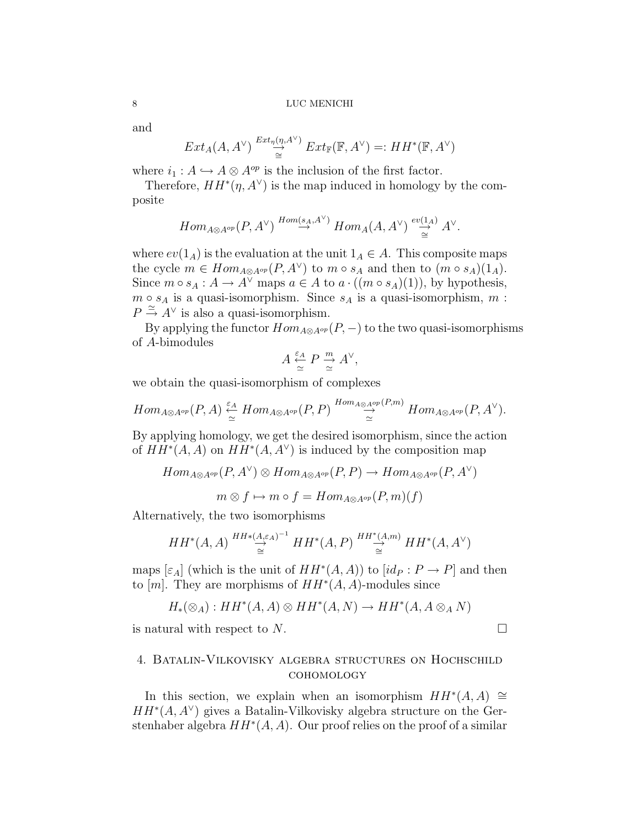and

$$
Ext_A(A, A^{\vee}) \stackrel{Ext_{\eta}(\eta, A^{\vee})}{\cong} Ext_{\mathbb{F}}(\mathbb{F}, A^{\vee}) =: HH^*(\mathbb{F}, A^{\vee})
$$

where  $i_1 : A \hookrightarrow A \otimes A^{op}$  is the inclusion of the first factor.

Therefore,  $HH^*(\eta, A^{\vee})$  is the map induced in homology by the composite

$$
Hom_{A\otimes A^{op}}(P,A^\vee)\stackrel{Hom(s_A,A^\vee)}{\to}Hom_A(A,A^\vee)\stackrel{ev(1_A)}{\underset{\cong}{\to}}A^\vee.
$$

where  $ev(1_A)$  is the evaluation at the unit  $1_A \in A$ . This composite maps the cycle  $m \in Hom_{A \otimes A^{op}}(P, A^{\vee})$  to  $m \circ s_A$  and then to  $(m \circ s_A)(1_A)$ . Since  $m \circ s_A : A \to A^{\vee}$  maps  $a \in A$  to  $a \cdot ((m \circ s_A)(1))$ , by hypothesis,  $m \circ s_A$  is a quasi-isomorphism. Since  $s_A$  is a quasi-isomorphism,  $m$ :  $P \stackrel{\simeq}{\rightarrow} A^{\vee}$  is also a quasi-isomorphism.

By applying the functor  $Hom_{A\otimes A^{op}}(P,-)$  to the two quasi-isomorphisms of A-bimodules

$$
A \stackrel{\varepsilon_A}{\simeq} P \stackrel{m}{\simeq} A^{\vee},
$$

we obtain the quasi-isomorphism of complexes

$$
Hom_{A\otimes A^{op}}(P,A)\stackrel{\varepsilon_A}\simeq Hom_{A\otimes A^{op}}(P,P)\stackrel{Hom_{A\otimes A^{op}}(P,m)}\simeq Hom_{A\otimes A^{op}}(P,A^{\vee}).
$$

By applying homology, we get the desired isomorphism, since the action of  $HH^*(A, A)$  on  $HH^*(A, A^{\vee})$  is induced by the composition map

$$
Hom_{A \otimes A^{op}}(P, A^{\vee}) \otimes Hom_{A \otimes A^{op}}(P, P) \to Hom_{A \otimes A^{op}}(P, A^{\vee})
$$

$$
m \otimes f \mapsto m \circ f = Hom_{A \otimes A^{op}}(P, m)(f)
$$

Alternatively, the two isomorphisms

$$
HH^*(A, A) \stackrel{HH^*(A, \varepsilon_A)^{-1}}{\overset{\cong}{\simeq}} HH^*(A, P) \stackrel{HH^*(A, m)}{\underset{\cong}{\xrightarrow{\simeq}}} HH^*(A, A^{\vee})
$$

maps  $[\varepsilon_A]$  (which is the unit of  $HH^*(A, A)$ ) to  $[id_P : P \to P]$  and then to [m]. They are morphisms of  $HH^*(A, A)$ -modules since

$$
H_*(\otimes_A): HH^*(A, A)\otimes HH^*(A, N)\to HH^*(A, A\otimes_A N)
$$

is natural with respect to N.

## 4. Batalin-Vilkovisky algebra structures on Hochschild cohomology

In this section, we explain when an isomorphism  $HH^*(A, A) \cong$  $HH^*(A, A^{\vee})$  gives a Batalin-Vilkovisky algebra structure on the Gerstenhaber algebra  $HH^*(A, A)$ . Our proof relies on the proof of a similar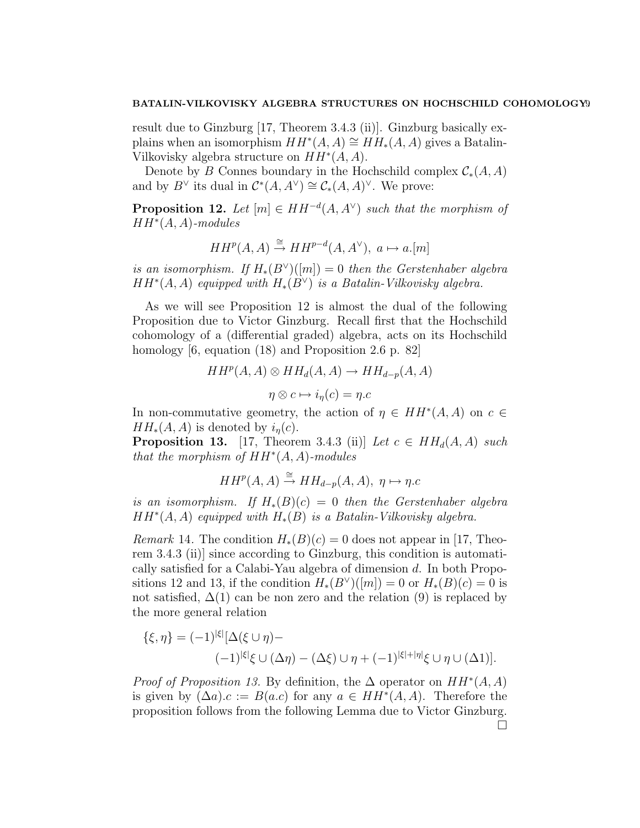result due to Ginzburg [17, Theorem 3.4.3 (ii)]. Ginzburg basically explains when an isomorphism  $HH^*(A, A) \cong HH_*(A, A)$  gives a Batalin-Vilkovisky algebra structure on  $HH^*(A, A)$ .

Denote by B Connes boundary in the Hochschild complex  $\mathcal{C}_*(A, A)$ and by  $B^{\vee}$  its dual in  $\mathcal{C}^*(A, A^{\vee}) \cong \mathcal{C}_*(A, A)^{\vee}$ . We prove:

**Proposition 12.** Let  $[m] \in HH^{-d}(A, A^{\vee})$  such that the morphism of  $HH^*(A, A)$ -modules

$$
HH^{p}(A, A) \stackrel{\cong}{\to} HH^{p-d}(A, A^{\vee}), \ a \mapsto a.[m]
$$

is an isomorphism. If  $H_*(B^{\vee})([m]) = 0$  then the Gerstenhaber algebra  $HH^*(A, A)$  equipped with  $H_*(B^{\vee})$  is a Batalin-Vilkovisky algebra.

As we will see Proposition 12 is almost the dual of the following Proposition due to Victor Ginzburg. Recall first that the Hochschild cohomology of a (differential graded) algebra, acts on its Hochschild homology [6, equation (18) and Proposition 2.6 p. 82]

$$
HH^{p}(A, A) \otimes HH_{d}(A, A) \to HH_{d-p}(A, A)
$$

$$
\eta \otimes c \mapsto i_{\eta}(c) = \eta.c
$$

In non-commutative geometry, the action of  $\eta \in HH^*(A, A)$  on  $c \in$  $HH_*(A, A)$  is denoted by  $i_n(c)$ .

**Proposition 13.** [17, Theorem 3.4.3 (ii)] Let  $c \in HH_d(A, A)$  such that the morphism of  $HH^*(A, A)$ -modules

$$
HH^{p}(A, A) \stackrel{\cong}{\rightarrow} HH_{d-p}(A, A), \eta \mapsto \eta.c
$$

is an isomorphism. If  $H_*(B)(c) = 0$  then the Gerstenhaber algebra  $HH^*(A, A)$  equipped with  $H_*(B)$  is a Batalin-Vilkovisky algebra.

*Remark* 14. The condition  $H_*(B)(c) = 0$  does not appear in [17, Theorem 3.4.3 (ii)] since according to Ginzburg, this condition is automatically satisfied for a Calabi-Yau algebra of dimension d. In both Propositions 12 and 13, if the condition  $H_*(B^{\vee})([m]) = 0$  or  $H_*(B)(c) = 0$  is not satisfied,  $\Delta(1)$  can be non zero and the relation (9) is replaced by the more general relation

$$
\{\xi,\eta\} = (-1)^{|\xi|}[\Delta(\xi \cup \eta) -
$$

$$
(-1)^{|\xi|}\xi \cup (\Delta \eta) - (\Delta \xi) \cup \eta + (-1)^{|\xi|+|\eta|}\xi \cup \eta \cup (\Delta 1)].
$$

*Proof of Proposition 13.* By definition, the  $\Delta$  operator on  $HH^*(A, A)$ is given by  $(\Delta a) . c := B(a.c)$  for any  $a \in HH^*(A, A)$ . Therefore the proposition follows from the following Lemma due to Victor Ginzburg.  $\Box$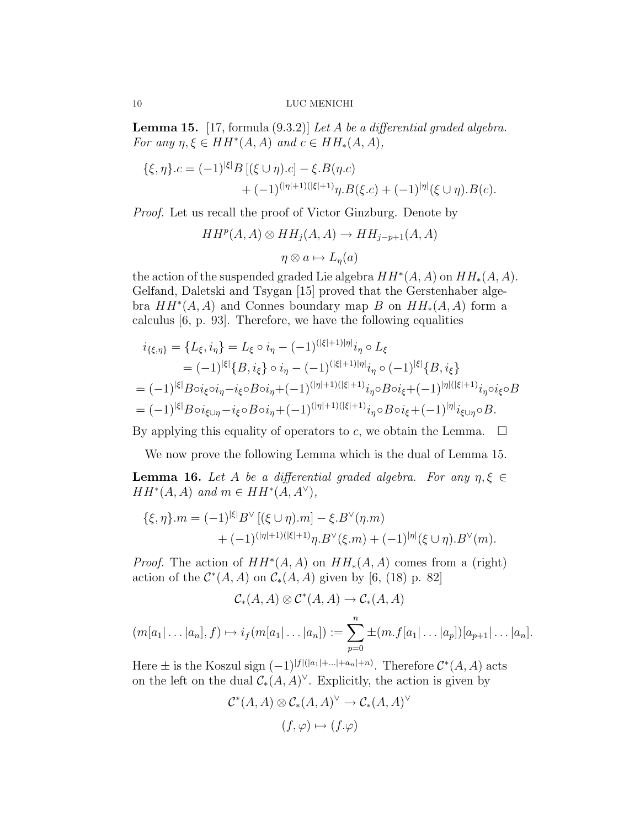**Lemma 15.** [17, formula  $(9.3.2)$ ] *Let A be a differential graded algebra.* For any  $\eta, \xi \in HH^*(A, A)$  and  $c \in HH_*(A, A)$ ,

$$
\{\xi, \eta\}.c = (-1)^{|\xi|} B [(\xi \cup \eta).c] - \xi.B(\eta.c) + (-1)^{(|\eta|+1)(|\xi|+1)} \eta.B(\xi.c) + (-1)^{|\eta|} (\xi \cup \eta).B(c).
$$

Proof. Let us recall the proof of Victor Ginzburg. Denote by

$$
HH^{p}(A, A) \otimes HH_{j}(A, A) \to HH_{j-p+1}(A, A)
$$

$$
\eta \otimes a \mapsto L_{\eta}(a)
$$

the action of the suspended graded Lie algebra  $HH^*(A, A)$  on  $HH_*(A, A)$ . Gelfand, Daletski and Tsygan [15] proved that the Gerstenhaber algebra  $HH^*(A, A)$  and Connes boundary map B on  $HH_*(A, A)$  form a calculus [6, p. 93]. Therefore, we have the following equalities

$$
i_{\{\xi,\eta\}} = \{L_{\xi}, i_{\eta}\} = L_{\xi} \circ i_{\eta} - (-1)^{(|\xi|+1)|\eta|} i_{\eta} \circ L_{\xi}
$$
  
\n
$$
= (-1)^{|\xi|} \{B, i_{\xi}\} \circ i_{\eta} - (-1)^{(|\xi|+1)|\eta|} i_{\eta} \circ (-1)^{|\xi|} \{B, i_{\xi}\}
$$
  
\n
$$
= (-1)^{|\xi|} B \circ i_{\xi} \circ i_{\eta} - i_{\xi} \circ B \circ i_{\eta} + (-1)^{(|\eta|+1)(|\xi|+1)} i_{\eta} \circ B \circ i_{\xi} + (-1)^{|\eta|(|\xi|+1)} i_{\eta} \circ i_{\xi} \circ B
$$
  
\n
$$
= (-1)^{|\xi|} B \circ i_{\xi \cup \eta} - i_{\xi} \circ B \circ i_{\eta} + (-1)^{(|\eta|+1)(|\xi|+1)} i_{\eta} \circ B \circ i_{\xi} + (-1)^{|\eta|} i_{\xi \cup \eta} \circ B.
$$

By applying this equality of operators to c, we obtain the Lemma.  $\Box$ 

We now prove the following Lemma which is the dual of Lemma 15.

**Lemma 16.** Let A be a differential graded algebra. For any  $\eta, \xi \in$  $HH^*(A, A)$  and  $m \in HH^*(A, A^{\vee}),$ 

$$
\{\xi, \eta\}.m = (-1)^{|\xi|} B^{\vee} [(\xi \cup \eta).m] - \xi.B^{\vee}(\eta.m) + (-1)^{(|\eta|+1)(|\xi|+1)} \eta.B^{\vee}(\xi.m) + (-1)^{|\eta|}(\xi \cup \eta).B^{\vee}(m).
$$

*Proof.* The action of  $HH^*(A, A)$  on  $HH_*(A, A)$  comes from a (right) action of the  $\mathcal{C}^*(A, A)$  on  $\mathcal{C}_*(A, A)$  given by [6, (18) p. 82]

$$
\mathcal{C}_{*}(A, A) \otimes \mathcal{C}^{*}(A, A) \to \mathcal{C}_{*}(A, A)
$$

$$
(m[a_1|\ldots|a_n], f) \mapsto i_f(m[a_1|\ldots|a_n]) := \sum_{p=0}^n \pm (m.f[a_1|\ldots|a_p])[a_{p+1}|\ldots|a_n].
$$

Here  $\pm$  is the Koszul sign  $(-1)^{|f|(|a_1|+\ldots+|a_n|+n)}$ . Therefore  $\mathcal{C}^*(A, A)$  acts on the left on the dual  $C_*(A, A)^\vee$ . Explicitly, the action is given by

$$
\mathcal{C}^*(A, A) \otimes \mathcal{C}_*(A, A)^\vee \to \mathcal{C}_*(A, A)^\vee
$$

$$
(f, \varphi) \mapsto (f \cdot \varphi)
$$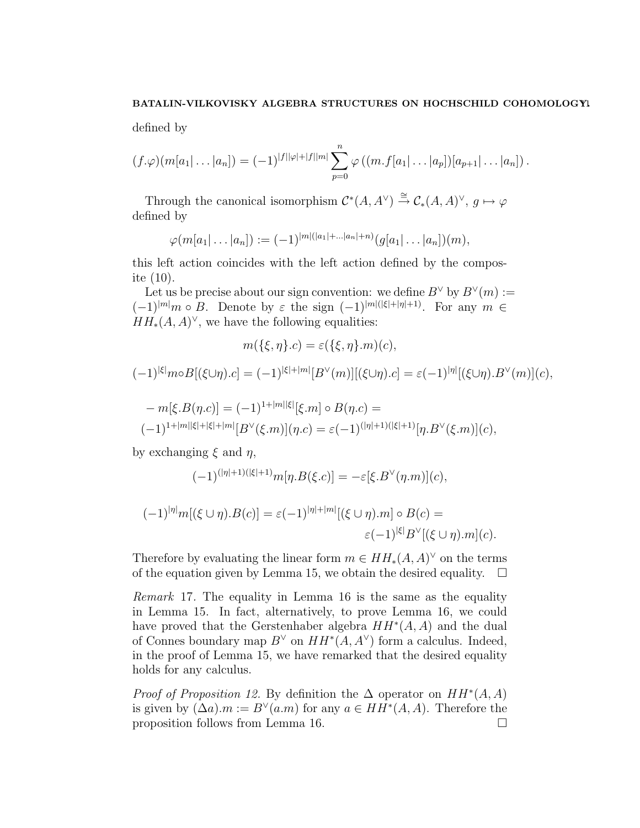defined by

$$
(f \cdot \varphi)(m[a_1| \ldots | a_n]) = (-1)^{|f||\varphi| + |f||m|} \sum_{p=0}^n \varphi((m.f[a_1| \ldots | a_p])[a_{p+1}| \ldots | a_n]).
$$

Through the canonical isomorphism  $\mathcal{C}^*(A, A^{\vee}) \stackrel{\cong}{\to} \mathcal{C}_*(A, A)^{\vee}, g \mapsto \varphi$ defined by

$$
\varphi(m[a_1|\ldots|a_n]):=(-1)^{|m|(|a_1|+\ldots|a_n|+n)}(g[a_1|\ldots|a_n])(m),
$$

this left action coincides with the left action defined by the composite (10).

Let us be precise about our sign convention: we define  $B^{\vee}$  by  $B^{\vee}(m) :=$  $(-1)^{|m|}m \circ B$ . Denote by  $\varepsilon$  the sign  $(-1)^{|m|(|\xi|+|\eta|+1)}$ . For any  $m \in \mathbb{R}$  $HH_*(A, A)^\vee$ , we have the following equalities:

$$
m(\{\xi,\eta\}.c) = \varepsilon(\{\xi,\eta\}.m)(c),
$$

$$
(-1)^{|\xi|} m \circ B[(\xi \cup \eta).c] = (-1)^{|\xi|+|m|} [B^{\vee}(m)][(\xi \cup \eta).c] = \varepsilon (-1)^{|\eta|} [(\xi \cup \eta).B^{\vee}(m)](c),
$$

$$
- m[\xi \cdot B(\eta \cdot c)] = (-1)^{1+|m||\xi|} [\xi \cdot m] \circ B(\eta \cdot c) =
$$
  

$$
(-1)^{1+|m||\xi|+|\xi|+|m|} [B^{\vee}(\xi \cdot m)](\eta \cdot c) = \varepsilon (-1)^{(|\eta|+1)(|\xi|+1)} [\eta \cdot B^{\vee}(\xi \cdot m)](c),
$$

by exchanging  $\xi$  and  $\eta$ ,

$$
(-1)^{(|\eta|+1)(|\xi|+1)}m[\eta.B(\xi.c)] = -\varepsilon[\xi.B^{\vee}(\eta.m)](c),
$$

$$
(-1)^{|\eta|}m[(\xi \cup \eta).B(c)] = \varepsilon(-1)^{|\eta|+|m|}[(\xi \cup \eta).m] \circ B(c) =
$$
  

$$
\varepsilon(-1)^{|\xi|}B^{\vee}[(\xi \cup \eta).m](c).
$$

Therefore by evaluating the linear form  $m \in HH_*(A, A)^\vee$  on the terms of the equation given by Lemma 15, we obtain the desired equality.  $\Box$ 

Remark 17. The equality in Lemma 16 is the same as the equality in Lemma 15. In fact, alternatively, to prove Lemma 16, we could have proved that the Gerstenhaber algebra  $HH^*(A, A)$  and the dual of Connes boundary map  $B^{\vee}$  on  $HH^*(A, A^{\vee})$  form a calculus. Indeed, in the proof of Lemma 15, we have remarked that the desired equality holds for any calculus.

*Proof of Proposition 12.* By definition the  $\Delta$  operator on  $HH^*(A, A)$ is given by  $(\Delta a) \cdot m := B^{\vee}(a \cdot m)$  for any  $a \in HH^*(A, A)$ . Therefore the proposition follows from Lemma 16.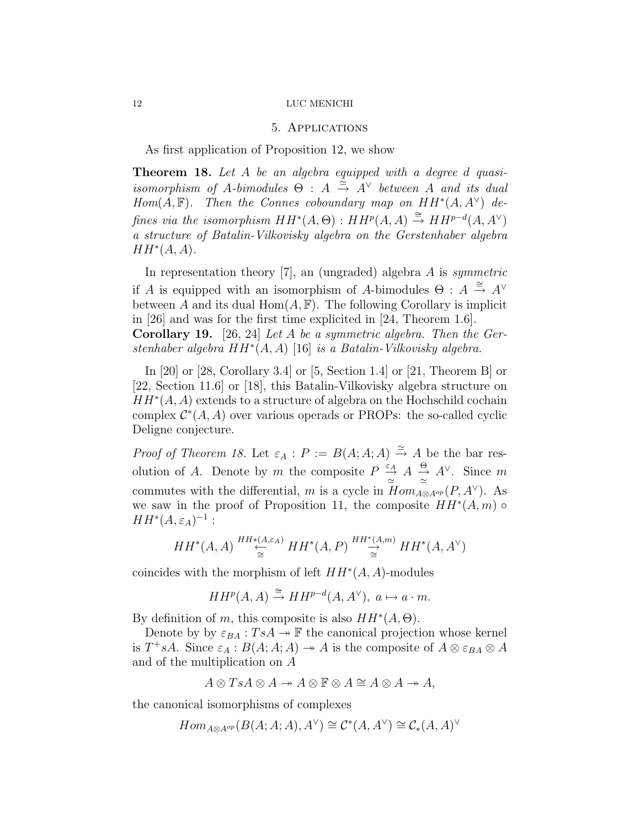## 5. Applications

As first application of Proposition 12, we show

Theorem 18. Let A be an algebra equipped with a degree d quasiisomorphism of A-bimodules  $\Theta$  :  $A \stackrel{\simeq}{\to} A^{\vee}$  between A and its dual  $Hom(A, \mathbb{F})$ . Then the Connes coboundary map on  $HH^*(A, A^{\vee})$  defines via the isomorphism  $HH^*(A, \Theta) : HH^p(A, A) \stackrel{\cong}{\rightarrow} HH^{p-d}(A, A^{\vee})$ a structure of Batalin-Vilkovisky algebra on the Gerstenhaber algebra  $HH^*(A, A).$ 

In representation theory  $[7]$ , an (ungraded) algebra A is symmetric if A is equipped with an isomorphism of A-bimodules  $\Theta : A \stackrel{\cong}{\to} A^{\vee}$ between A and its dual  $Hom(A, \mathbb{F})$ . The following Corollary is implicit in [26] and was for the first time explicited in [24, Theorem 1.6].

Corollary 19. [26, 24] Let A be a symmetric algebra. Then the Gerstenhaber algebra  $HH^*(A, A)$  [16] is a Batalin-Vilkovisky algebra.

In [20] or [28, Corollary 3.4] or [5, Section 1.4] or [21, Theorem B] or [22, Section 11.6] or [18], this Batalin-Vilkovisky algebra structure on  $HH^*(A, A)$  extends to a structure of algebra on the Hochschild cochain complex  $\mathcal{C}^*(A, A)$  over various operads or PROPs: the so-called cyclic Deligne conjecture.

*Proof of Theorem 18.* Let  $\varepsilon_A : P := B(A; A; A) \stackrel{\simeq}{\to} A$  be the bar resolution of A. Denote by m the composite  $P \stackrel{\varepsilon_A}{\rightarrow}$  $\stackrel{\varepsilon_A}{\to} A \stackrel{\Theta}{\to} A^{\vee}$ . Since m commutes with the differential, m is a cycle in  $\overline{Hom}_{A\otimes A^{op}}(P, A^{\vee})$ . As we saw in the proof of Proposition 11, the composite  $HH^*(A,m)$  $HH^*(A,\varepsilon_A)^{-1}$ :

$$
HH^*(A, A) \stackrel{HH*(A, \varepsilon_A)}{\underset{\cong}{\cong}} HH^*(A, P) \stackrel{HH^*(A, m)}{\underset{\cong}{\longrightarrow}} HH^*(A, A^{\vee})
$$

coincides with the morphism of left  $HH^*(A, A)$ -modules

$$
HH^p(A, A) \stackrel{\cong}{\to} HH^{p-d}(A, A^{\vee}), \ a \mapsto a \cdot m.
$$

By definition of m, this composite is also  $HH^*(A, \Theta)$ .

Denote by by  $\varepsilon_{BA} : TsA \to \mathbb{F}$  the canonical projection whose kernel is  $T^+sA$ . Since  $\varepsilon_A : B(A;A;A) \to A$  is the composite of  $A \otimes \varepsilon_{BA} \otimes A$ and of the multiplication on A

$$
A \otimes TsA \otimes A \twoheadrightarrow A \otimes \mathbb{F} \otimes A \cong A \otimes A \twoheadrightarrow A,
$$

the canonical isomorphisms of complexes

$$
Hom_{A\otimes A^{op}}(B(A;A;A),A^{\vee})\cong \mathcal{C}^*(A,A^{\vee})\cong \mathcal{C}_*(A,A)^{\vee}
$$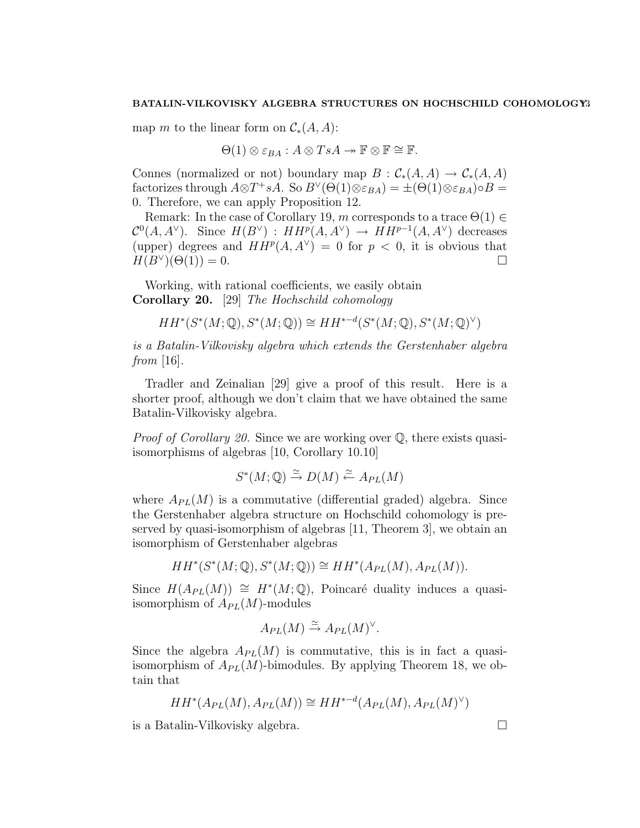map m to the linear form on  $\mathcal{C}_*(A, A)$ :

$$
\Theta(1) \otimes \varepsilon_{BA} : A \otimes TsA \rightarrow \mathbb{F} \otimes \mathbb{F} \cong \mathbb{F}.
$$

Connes (normalized or not) boundary map  $B : C_*(A, A) \to C_*(A, A)$ factorizes through  $A \otimes T^+ sA$ . So  $B^{\vee}(\Theta(1) \otimes \varepsilon_{BA}) = \pm (\Theta(1) \otimes \varepsilon_{BA}) \circ B =$ 0. Therefore, we can apply Proposition 12.

Remark: In the case of Corollary 19, m corresponds to a trace  $\Theta(1) \in$  $\mathcal{C}^0(A, A^{\vee})$ . Since  $H(B^{\vee})$ :  $HH^p(A, A^{\vee}) \rightarrow HH^{p-1}(A, A^{\vee})$  decreases (upper) degrees and  $HH^p(A, A^{\vee}) = 0$  for  $p < 0$ , it is obvious that  $H(B^{\vee})(\Theta(1)) = 0.$ 

Working, with rational coefficients, we easily obtain Corollary 20. [29] The Hochschild cohomology

$$
HH^*(S^*(M; \mathbb{Q}), S^*(M; \mathbb{Q})) \cong HH^{*-d}(S^*(M; \mathbb{Q}), S^*(M; \mathbb{Q})^{\vee})
$$

is a Batalin-Vilkovisky algebra which extends the Gerstenhaber algebra from  $[16]$ .

Tradler and Zeinalian [29] give a proof of this result. Here is a shorter proof, although we don't claim that we have obtained the same Batalin-Vilkovisky algebra.

Proof of Corollary 20. Since we are working over  $\mathbb{Q}$ , there exists quasiisomorphisms of algebras [10, Corollary 10.10]

$$
S^*(M; \mathbb{Q}) \stackrel{\simeq}{\to} D(M) \stackrel{\simeq}{\leftarrow} A_{PL}(M)
$$

where  $A_{PL}(M)$  is a commutative (differential graded) algebra. Since the Gerstenhaber algebra structure on Hochschild cohomology is preserved by quasi-isomorphism of algebras [11, Theorem 3], we obtain an isomorphism of Gerstenhaber algebras

$$
HH^*(S^*(M; \mathbb{Q}), S^*(M; \mathbb{Q})) \cong HH^*(A_{PL}(M), A_{PL}(M)).
$$

Since  $H(A_{PL}(M)) \cong H^*(M; \mathbb{Q})$ , Poincaré duality induces a quasiisomorphism of  $A_{PL}(M)$ -modules

$$
A_{PL}(M) \xrightarrow{\simeq} A_{PL}(M)^{\vee}.
$$

Since the algebra  $A_{PL}(M)$  is commutative, this is in fact a quasiisomorphism of  $A_{PL}(M)$ -bimodules. By applying Theorem 18, we obtain that

$$
HH^*(A_{PL}(M), A_{PL}(M)) \cong HH^{*-d}(A_{PL}(M), A_{PL}(M)^{\vee})
$$

is a Batalin-Vilkovisky algebra.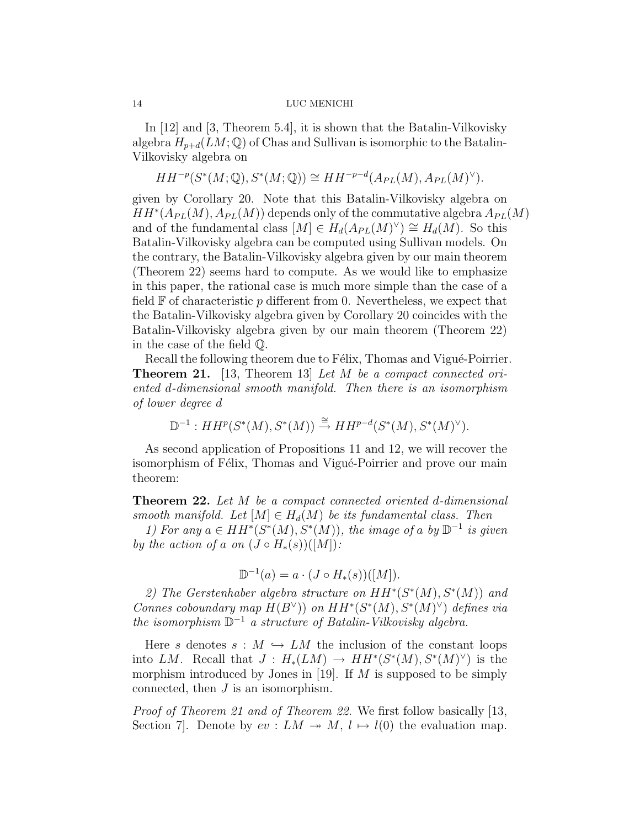In [12] and [3, Theorem 5.4], it is shown that the Batalin-Vilkovisky algebra  $H_{p+d}(LM; \mathbb{Q})$  of Chas and Sullivan is isomorphic to the Batalin-Vilkovisky algebra on

$$
HH^{-p}(S^*(M; \mathbb{Q}), S^*(M; \mathbb{Q})) \cong HH^{-p-d}(A_{PL}(M), A_{PL}(M)^{\vee}).
$$

given by Corollary 20. Note that this Batalin-Vilkovisky algebra on  $HH^*(A_{PL}(M), A_{PL}(M))$  depends only of the commutative algebra  $A_{PL}(M)$ and of the fundamental class  $[M] \in H_d(A_{PL}(M)^{\vee}) \cong H_d(M)$ . So this Batalin-Vilkovisky algebra can be computed using Sullivan models. On the contrary, the Batalin-Vilkovisky algebra given by our main theorem (Theorem 22) seems hard to compute. As we would like to emphasize in this paper, the rational case is much more simple than the case of a field  $\mathbb F$  of characteristic p different from 0. Nevertheless, we expect that the Batalin-Vilkovisky algebra given by Corollary 20 coincides with the Batalin-Vilkovisky algebra given by our main theorem (Theorem 22) in the case of the field Q.

Recall the following theorem due to Félix, Thomas and Vigué-Poirrier. Theorem 21. [13, Theorem 13] Let M be a compact connected oriented d-dimensional smooth manifold. Then there is an isomorphism of lower degree d

$$
\mathbb{D}^{-1}: HH^p(S^*(M), S^*(M)) \stackrel{\cong}{\to} HH^{p-d}(S^*(M), S^*(M)^{\vee}).
$$

As second application of Propositions 11 and 12, we will recover the isomorphism of Félix, Thomas and Vigué-Poirrier and prove our main theorem:

**Theorem 22.** Let M be a compact connected oriented d-dimensional smooth manifold. Let  $[M] \in H_d(M)$  be its fundamental class. Then

1) For any  $a \in HH^*(S^*(M), S^*(M))$ , the image of a by  $\mathbb{D}^{-1}$  is given by the action of a on  $(J \circ H_*(s))([M])$ :

$$
\mathbb{D}^{-1}(a) = a \cdot (J \circ H_*(s))([M]).
$$

2) The Gerstenhaber algebra structure on  $HH^*(S^*(M), S^*(M))$  and Connes coboundary map  $H(B^{\vee})$  on  $HH^*(S^*(M), S^*(M)^{\vee})$  defines via the isomorphism  $\mathbb{D}^{-1}$  a structure of Batalin-Vilkovisky algebra.

Here s denotes  $s : M \hookrightarrow LM$  the inclusion of the constant loops into LM. Recall that  $J: H_*(LM) \to HH^*(S^*(M), S^*(M)^{\vee})$  is the morphism introduced by Jones in [19]. If  $M$  is supposed to be simply connected, then J is an isomorphism.

Proof of Theorem 21 and of Theorem 22. We first follow basically [13, Section 7]. Denote by  $ev: LM \rightarrow M$ ,  $l \mapsto l(0)$  the evaluation map.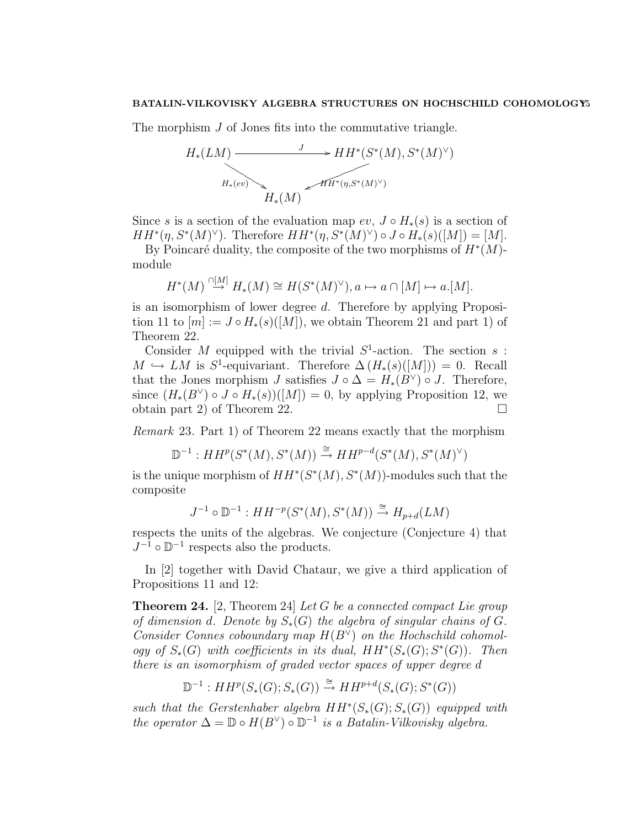The morphism J of Jones fits into the commutative triangle.

$$
H_*(LM) \xrightarrow{J} HH^*(S^*(M), S^*(M)^\vee)
$$
  
\n
$$
H_*(ev) \xrightarrow{H_*(\eta, S^*(M)^\vee)} H_*(M)
$$

Since s is a section of the evaluation map  $ev$ ,  $J \circ H_*(s)$  is a section of  $HH^*(\eta, S^*(M)^{\vee})$ . Therefore  $HH^*(\eta, S^*(M)^{\vee}) \circ J \circ H_*(s)([M]) = [M]$ .

By Poincaré duality, the composite of the two morphisms of  $H^*(M)$ module

$$
H^*(M) \stackrel{\cap [M]}{\to} H_*(M) \cong H(S^*(M)^{\vee}), a \mapsto a \cap [M] \mapsto a.[M].
$$

is an isomorphism of lower degree d. Therefore by applying Proposition 11 to  $[m] := J \circ H_*(s) ([M])$ , we obtain Theorem 21 and part 1) of Theorem 22.

Consider M equipped with the trivial  $S^1$ -action. The section s:  $M \hookrightarrow LM$  is S<sup>1</sup>-equivariant. Therefore  $\Delta(H_*(s)([M])) = 0$ . Recall that the Jones morphism J satisfies  $J \circ \Delta = H_*(B^{\vee}) \circ J$ . Therefore, since  $(H_*(B^{\vee}) \circ J \circ H_*(s))([M]) = 0$ , by applying Proposition 12, we obtain part 2) of Theorem 22.

Remark 23. Part 1) of Theorem 22 means exactly that the morphism

$$
\mathbb{D}^{-1}: HH^p(S^*(M), S^*(M)) \stackrel{\cong}{\to} HH^{p-d}(S^*(M), S^*(M)^{\vee})
$$

is the unique morphism of  $HH^*(S^*(M), S^*(M))$ -modules such that the composite

$$
J^{-1} \circ \mathbb{D}^{-1} : HH^{-p}(S^*(M), S^*(M)) \xrightarrow{\cong} H_{p+d}(LM)
$$

respects the units of the algebras. We conjecture (Conjecture 4) that  $J^{-1}$  o  $\mathbb{D}^{-1}$  respects also the products.

In [2] together with David Chataur, we give a third application of Propositions 11 and 12:

**Theorem 24.** [2, Theorem 24] Let G be a connected compact Lie group of dimension d. Denote by  $S_*(G)$  the algebra of singular chains of G. Consider Connes coboundary map  $H(B^{\vee})$  on the Hochschild cohomology of  $S_*(G)$  with coefficients in its dual,  $HH^*(S_*(G); S^*(G))$ . Then there is an isomorphism of graded vector spaces of upper degree d

$$
\mathbb{D}^{-1}: HH^p(S_*(G); S_*(G)) \stackrel{\cong}{\to} HH^{p+d}(S_*(G); S^*(G))
$$

such that the Gerstenhaber algebra  $HH^*(S_*(G); S_*(G))$  equipped with the operator  $\Delta = \mathbb{D} \circ H(B^{\vee}) \circ \mathbb{D}^{-1}$  is a Batalin-Vilkovisky algebra.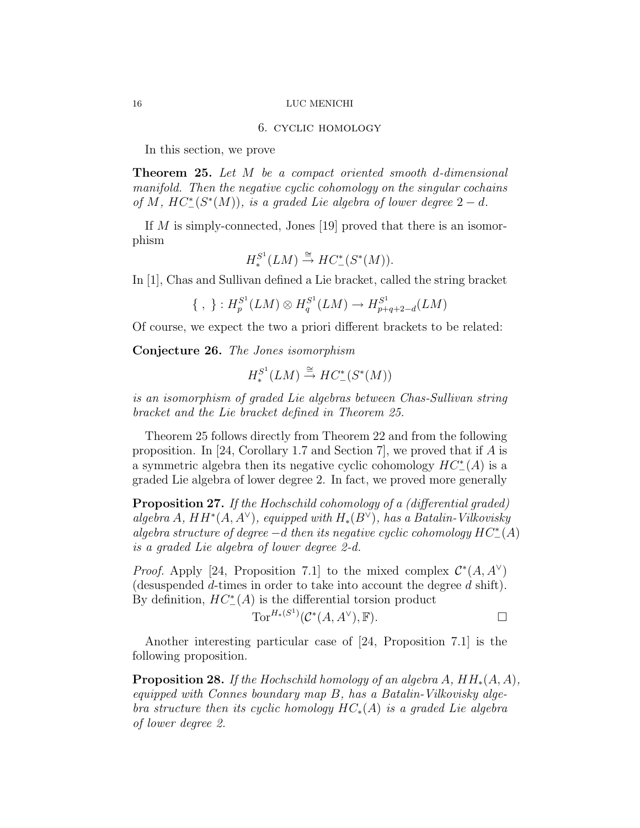## 6. cyclic homology

In this section, we prove

Theorem 25. Let M be a compact oriented smooth d-dimensional manifold. Then the negative cyclic cohomology on the singular cochains of M,  $HC^*(S^*(M))$ , is a graded Lie algebra of lower degree  $2-d$ .

If M is simply-connected, Jones [19] proved that there is an isomorphism

$$
H_*^{S^1}(LM) \xrightarrow{\cong} HC^*(S^*(M)).
$$

In [1], Chas and Sullivan defined a Lie bracket, called the string bracket

$$
\{\ ,\ \}: H_p^{S^1}(LM) \otimes H_q^{S^1}(LM) \to H_{p+q+2-d}^{S^1}(LM)
$$

Of course, we expect the two a priori different brackets to be related:

Conjecture 26. The Jones isomorphism

$$
H^{S^1}_*(LM) \stackrel{\cong}{\to} HC^*_-(S^*(M))
$$

is an isomorphism of graded Lie algebras between Chas-Sullivan string bracket and the Lie bracket defined in Theorem 25.

Theorem 25 follows directly from Theorem 22 and from the following proposition. In [24, Corollary 1.7 and Section 7], we proved that if A is a symmetric algebra then its negative cyclic cohomology  $HC_{-}^{*}(A)$  is a graded Lie algebra of lower degree 2. In fact, we proved more generally

**Proposition 27.** If the Hochschild cohomology of a (differential graded) algebra A,  $HH^*(A, A^{\vee})$ , equipped with  $H_*(B^{\vee})$ , has a Batalin-Vilkovisky algebra structure of degree  $-d$  then its negative cyclic cohomology  $HC_{-}^*(A)$ is a graded Lie algebra of lower degree 2-d.

*Proof.* Apply [24, Proposition 7.1] to the mixed complex  $\mathcal{C}^*(A, A^{\vee})$ (desuspended  $d$ -times in order to take into account the degree  $d$  shift). By definition,  $HC^*_{-}(A)$  is the differential torsion product

$$
\operatorname{Tor}^{H_*(S^1)}(\mathcal{C}^*(A,A^\vee),\mathbb{F}).
$$

Another interesting particular case of [24, Proposition 7.1] is the following proposition.

**Proposition 28.** If the Hochschild homology of an algebra A,  $HH_*(A, A)$ , equipped with Connes boundary map B, has a Batalin-Vilkovisky algebra structure then its cyclic homology  $HC_*(A)$  is a graded Lie algebra of lower degree 2.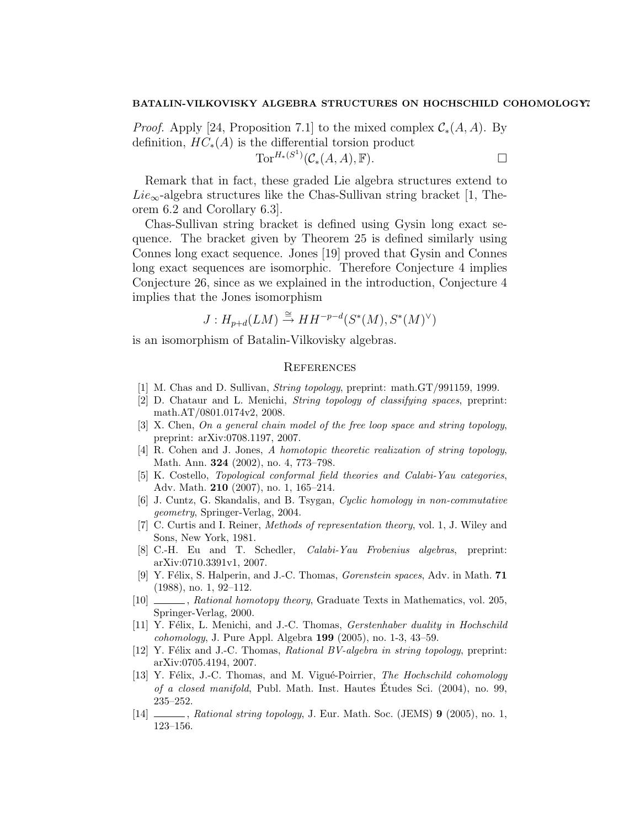*Proof.* Apply [24, Proposition 7.1] to the mixed complex  $C_*(A, A)$ . By definition,  $HC_*(A)$  is the differential torsion product Tor<sup> $H_*(S^1)(\mathcal{C}_*(A, A), \mathbb{F}).$ </sup>

Remark that in fact, these graded Lie algebra structures extend to  $Lie_{\infty}$ -algebra structures like the Chas-Sullivan string bracket [1, Theorem 6.2 and Corollary 6.3].

Chas-Sullivan string bracket is defined using Gysin long exact sequence. The bracket given by Theorem 25 is defined similarly using Connes long exact sequence. Jones [19] proved that Gysin and Connes long exact sequences are isomorphic. Therefore Conjecture 4 implies Conjecture 26, since as we explained in the introduction, Conjecture 4 implies that the Jones isomorphism

$$
J: H_{p+d}(LM) \stackrel{\cong}{\to} HH^{-p-d}(S^*(M), S^*(M)^{\vee})
$$

is an isomorphism of Batalin-Vilkovisky algebras.

## **REFERENCES**

- [1] M. Chas and D. Sullivan, String topology, preprint: math.GT/991159, 1999.
- [2] D. Chataur and L. Menichi, String topology of classifying spaces, preprint: math.AT/0801.0174v2, 2008.
- [3] X. Chen, On a general chain model of the free loop space and string topology, preprint: arXiv:0708.1197, 2007.
- [4] R. Cohen and J. Jones, A homotopic theoretic realization of string topology, Math. Ann. 324 (2002), no. 4, 773–798.
- [5] K. Costello, Topological conformal field theories and Calabi-Yau categories, Adv. Math. 210 (2007), no. 1, 165–214.
- [6] J. Cuntz, G. Skandalis, and B. Tsygan, Cyclic homology in non-commutative geometry, Springer-Verlag, 2004.
- [7] C. Curtis and I. Reiner, Methods of representation theory, vol. 1, J. Wiley and Sons, New York, 1981.
- [8] C.-H. Eu and T. Schedler, Calabi-Yau Frobenius algebras, preprint: arXiv:0710.3391v1, 2007.
- [9] Y. Félix, S. Halperin, and J.-C. Thomas, *Gorenstein spaces*, Adv. in Math. 71 (1988), no. 1, 92–112.
- [10]  $\_\_\_\_\$ , Rational homotopy theory, Graduate Texts in Mathematics, vol. 205, Springer-Verlag, 2000.
- [11] Y. Félix, L. Menichi, and J.-C. Thomas, *Gerstenhaber duality in Hochschild* cohomology, J. Pure Appl. Algebra 199 (2005), no. 1-3, 43–59.
- [12] Y. Félix and J.-C. Thomas, *Rational BV-algebra in string topology*, preprint: arXiv:0705.4194, 2007.
- [13] Y. Félix, J.-C. Thomas, and M. Vigué-Poirrier, *The Hochschild cohomology* of a closed manifold, Publ. Math. Inst. Hautes Etudes Sci. (2004), no. 99, ´ 235–252.
- [14]  $\ldots$ , Rational string topology, J. Eur. Math. Soc. (JEMS) 9 (2005), no. 1, 123–156.